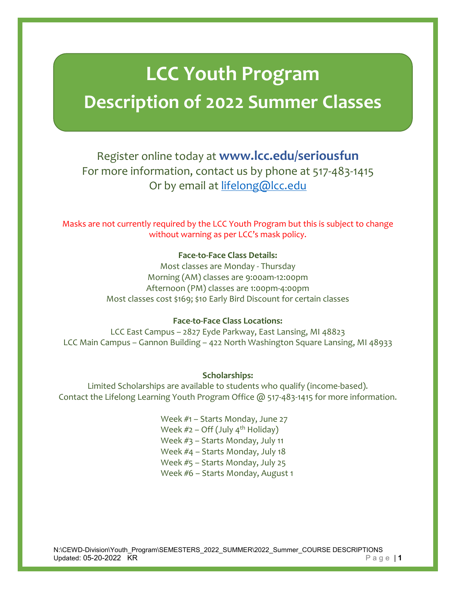# **LCC Youth Program Description of 2022 Summer Classes**

# Register online today at **www.lcc.edu/seriousfun** For more information, contact us by phone at 517-483-1415 Or by email at [lifelong@lcc.edu](mailto:lifelong@lcc.edu)

Masks are not currently required by the LCC Youth Program but this is subject to change without warning as per LCC's mask policy.

# **Face-to-Face Class Details:**

Most classes are Monday - Thursday Morning (AM) classes are 9:00am-12:00pm Afternoon (PM) classes are 1:00pm-4:00pm Most classes cost \$169; \$10 Early Bird Discount for certain classes

# **Face-to-Face Class Locations:**

LCC East Campus – 2827 Eyde Parkway, East Lansing, MI 48823 LCC Main Campus – Gannon Building – 422 North Washington Square Lansing, MI 48933

# **Scholarships:**

Limited Scholarships are available to students who qualify (income-based). Contact the Lifelong Learning Youth Program Office @ 517-483-1415 for more information.

> Week #1 – Starts Monday, June 27 Week  $#2$  – Off (July 4<sup>th</sup> Holiday) Week #3 – Starts Monday, July 11 Week #4 – Starts Monday, July 18 Week #5 – Starts Monday, July 25 Week #6 – Starts Monday, August 1

N:\CEWD-Division\Youth\_Program\SEMESTERS\_2022\_SUMMER\2022\_Summer\_COURSE DESCRIPTIONS Updated: 05-20-2022 KR Page | **1**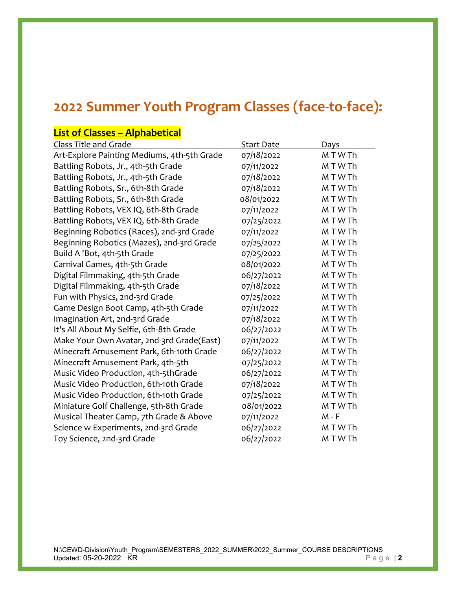# **2022 Summer Youth Program Classes (face-to-face):**

# **List of Classes – Alphabetical**

| <b>Start Date</b> | Days       |
|-------------------|------------|
| 07/18/2022        | M T W Th   |
| 07/11/2022        | M T W Th   |
| 07/18/2022        | MTWTh      |
| 07/18/2022        | M T W Th   |
| 08/01/2022        | M T W Th   |
| 07/11/2022        | M T W Th   |
| 07/25/2022        | M T W Th   |
| 07/11/2022        | M T W Th   |
| 07/25/2022        | M T W Th   |
| 07/25/2022        | M T W Th   |
| 08/01/2022        | M T W Th   |
| 06/27/2022        | M T W Th   |
| 07/18/2022        | M T W Th   |
| 07/25/2022        | M T W Th   |
| 07/11/2022        | M T W Th   |
| 07/18/2022        | M T W Th   |
|                   | M T W Th   |
| 07/11/2022        | M T W Th   |
| 06/27/2022        | M T W Th   |
| 07/25/2022        | M T W Th   |
| 06/27/2022        | M T W Th   |
| 07/18/2022        | M T W Th   |
| 07/25/2022        | M T W Th   |
| 08/01/2022        | M T W Th   |
| 07/11/2022        | $M - F$    |
| 06/27/2022        | M T W Th   |
| 06/27/2022        | M T W Th   |
|                   | 06/27/2022 |

N:\CEWD-Division\Youth\_Program\SEMESTERS\_2022\_SUMMER\2022\_Summer\_COURSE DESCRIPTIONS Updated: 05-20-2022 KR Page | 2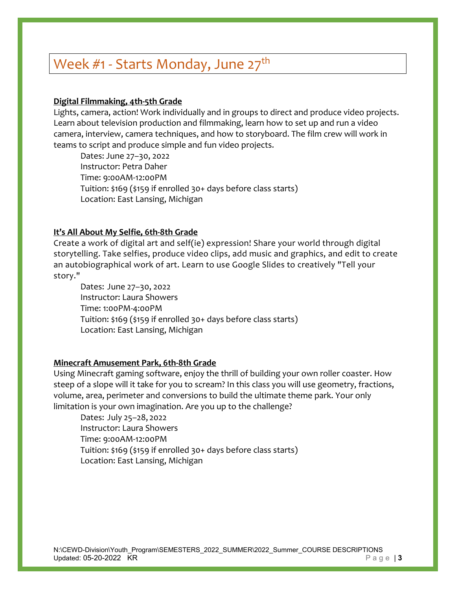# Week  $#1$  - Starts Monday, June  $27<sup>th</sup>$

## **Digital Filmmaking, 4th-5th Grade**

Lights, camera, action! Work individually and in groups to direct and produce video projects. Learn about television production and filmmaking, learn how to set up and run a video camera, interview, camera techniques, and how to storyboard. The film crew will work in teams to script and produce simple and fun video projects.

Dates: June 27–30, 2022 Instructor: Petra Daher Time: 9:00AM-12:00PM Tuition: \$169 (\$159 if enrolled 30+ days before class starts) Location: East Lansing, Michigan

### **It's All About My Selfie, 6th-8th Grade**

Create a work of digital art and self(ie) expression! Share your world through digital storytelling. Take selfies, produce video clips, add music and graphics, and edit to create an autobiographical work of art. Learn to use Google Slides to creatively "Tell your story."

Dates: June 27–30, 2022 Instructor: Laura Showers Time: 1:00PM-4:00PM Tuition: \$169 (\$159 if enrolled 30+ days before class starts) Location: East Lansing, Michigan

#### **Minecraft Amusement Park, 6th-8th Grade**

Using Minecraft gaming software, enjoy the thrill of building your own roller coaster. How steep of a slope will it take for you to scream? In this class you will use geometry, fractions, volume, area, perimeter and conversions to build the ultimate theme park. Your only limitation is your own imagination. Are you up to the challenge?

Dates: July 25–28, 2022 Instructor: Laura Showers Time: 9:00AM-12:00PM Tuition: \$169 (\$159 if enrolled 30+ days before class starts) Location: East Lansing, Michigan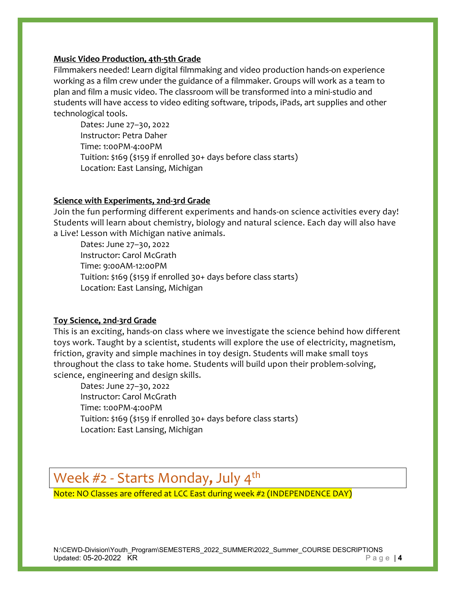# **Music Video Production, 4th-5th Grade**

Filmmakers needed! Learn digital filmmaking and video production hands-on experience working as a film crew under the guidance of a filmmaker. Groups will work as a team to plan and film a music video. The classroom will be transformed into a mini-studio and students will have access to video editing software, tripods, iPads, art supplies and other technological tools.

Dates: June 27–30, 2022 Instructor: Petra Daher Time: 1:00PM-4:00PM Tuition: \$169 (\$159 if enrolled 30+ days before class starts) Location: East Lansing, Michigan

# **Science with Experiments, 2nd-3rd Grade**

Join the fun performing different experiments and hands-on science activities every day! Students will learn about chemistry, biology and natural science. Each day will also have a Live! Lesson with Michigan native animals.

Dates: June 27–30, 2022 Instructor: Carol McGrath Time: 9:00AM-12:00PM Tuition: \$169 (\$159 if enrolled 30+ days before class starts) Location: East Lansing, Michigan

# **Toy Science, 2nd-3rd Grade**

This is an exciting, hands-on class where we investigate the science behind how different toys work. Taught by a scientist, students will explore the use of electricity, magnetism, friction, gravity and simple machines in toy design. Students will make small toys throughout the class to take home. Students will build upon their problem-solving, science, engineering and design skills.

Dates: June 27–30, 2022 Instructor: Carol McGrath Time: 1:00PM-4:00PM Tuition: \$169 (\$159 if enrolled 30+ days before class starts) Location: East Lansing, Michigan

# Week #2 - Starts Monday, July 4<sup>th</sup><br>Note: NO Classes are offered at LCC East during week #2 (INDEPENDENCE DAY)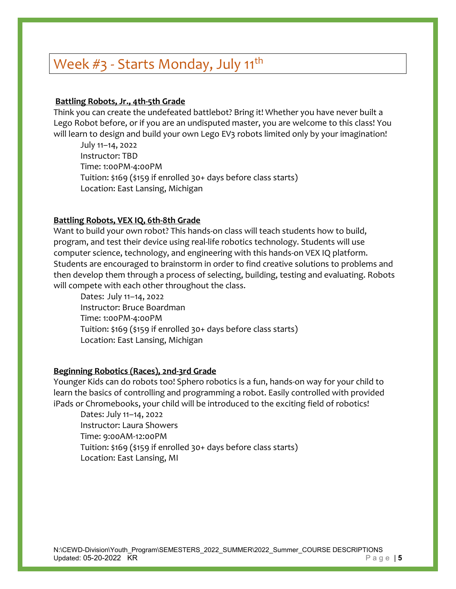# Week #3 - Starts Monday, July 11<sup>th</sup>

# **Battling Robots, Jr., 4th-5th Grade**

Think you can create the undefeated battlebot? Bring it! Whether you have never built a Lego Robot before, or if you are an undisputed master, you are welcome to this class! You will learn to design and build your own Lego EV3 robots limited only by your imagination!

July 11–14, 2022 Instructor: TBD Time: 1:00PM-4:00PM Tuition: \$169 (\$159 if enrolled 30+ days before class starts) Location: East Lansing, Michigan

# **Battling Robots, VEX IQ, 6th-8th Grade**

Want to build your own robot? This hands-on class will teach students how to build, program, and test their device using real-life robotics technology. Students will use computer science, technology, and engineering with this hands-on VEX IQ platform. Students are encouraged to brainstorm in order to find creative solutions to problems and then develop them through a process of selecting, building, testing and evaluating. Robots will compete with each other throughout the class.

Dates: July 11–14, 2022 Instructor: Bruce Boardman Time: 1:00PM-4:00PM Tuition: \$169 (\$159 if enrolled 30+ days before class starts) Location: East Lansing, Michigan

# **Beginning Robotics (Races), 2nd-3rd Grade**

Younger Kids can do robots too! Sphero robotics is a fun, hands-on way for your child to learn the basics of controlling and programming a robot. Easily controlled with provided iPads or Chromebooks, your child will be introduced to the exciting field of robotics!

Dates: July 11–14, 2022 Instructor: Laura Showers Time: 9:00AM-12:00PM Tuition: \$169 (\$159 if enrolled 30+ days before class starts) Location: East Lansing, MI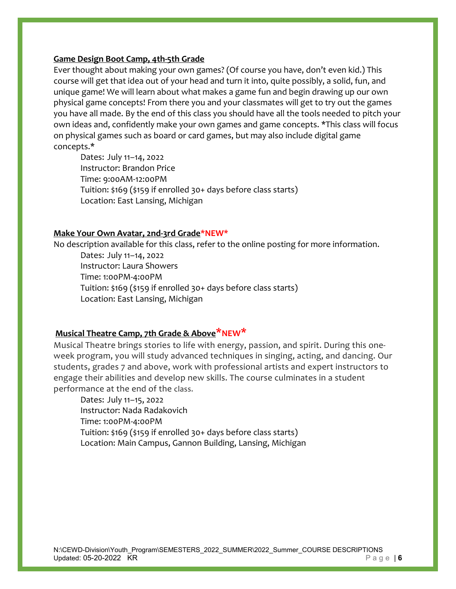## **Game Design Boot Camp, 4th-5th Grade**

Ever thought about making your own games? (Of course you have, don't even kid.) This course will get that idea out of your head and turn it into, quite possibly, a solid, fun, and unique game! We will learn about what makes a game fun and begin drawing up our own physical game concepts! From there you and your classmates will get to try out the games you have all made. By the end of this class you should have all the tools needed to pitch your own ideas and, confidently make your own games and game concepts. \*This class will focus on physical games such as board or card games, but may also include digital game concepts.\*

Dates: July 11–14, 2022 Instructor: Brandon Price Time: 9:00AM-12:00PM Tuition: \$169 (\$159 if enrolled 30+ days before class starts) Location: East Lansing, Michigan

### **Make Your Own Avatar, 2nd-3rd Grade\*NEW\***

No description available for this class, refer to the online posting for more information.

Dates: July 11–14, 2022 Instructor: Laura Showers Time: 1:00PM-4:00PM Tuition: \$169 (\$159 if enrolled 30+ days before class starts) Location: East Lansing, Michigan

# **Musical Theatre Camp, 7th Grade & Above\*NEW\***

Musical Theatre brings stories to life with energy, passion, and spirit. During this oneweek program, you will study advanced techniques in singing, acting, and dancing. Our students, grades 7 and above, work with professional artists and expert instructors to engage their abilities and develop new skills. The course culminates in a student performance at the end of the class.

Dates: July 11–15, 2022 Instructor: Nada Radakovich Time: 1:00PM-4:00PM Tuition: \$169 (\$159 if enrolled 30+ days before class starts) Location: Main Campus, Gannon Building, Lansing, Michigan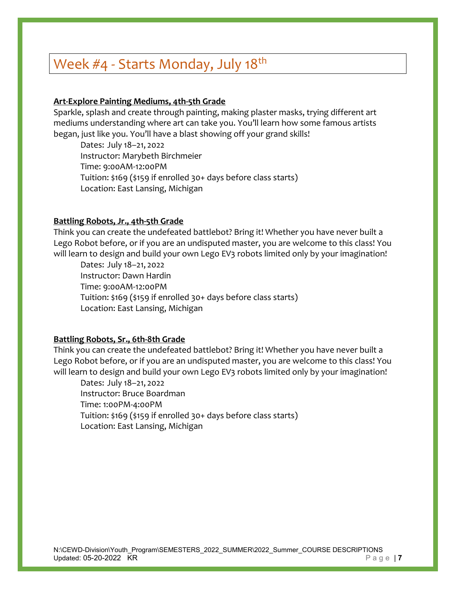# Week  $#4$  - Starts Monday, July 18<sup>th</sup>

# **Art-Explore Painting Mediums, 4th-5th Grade**

Sparkle, splash and create through painting, making plaster masks, trying different art mediums understanding where art can take you. You'll learn how some famous artists began, just like you. You'll have a blast showing off your grand skills!

Dates: July 18–21, 2022 Instructor: Marybeth Birchmeier Time: 9:00AM-12:00PM Tuition: \$169 (\$159 if enrolled 30+ days before class starts) Location: East Lansing, Michigan

## **Battling Robots, Jr., 4th-5th Grade**

Think you can create the undefeated battlebot? Bring it! Whether you have never built a Lego Robot before, or if you are an undisputed master, you are welcome to this class! You will learn to design and build your own Lego EV3 robots limited only by your imagination!

Dates: July 18–21, 2022 Instructor: Dawn Hardin Time: 9:00AM-12:00PM Tuition: \$169 (\$159 if enrolled 30+ days before class starts) Location: East Lansing, Michigan

# **Battling Robots, Sr., 6th-8th Grade**

Think you can create the undefeated battlebot? Bring it! Whether you have never built a Lego Robot before, or if you are an undisputed master, you are welcome to this class! You will learn to design and build your own Lego EV3 robots limited only by your imagination!

Dates: July 18–21, 2022 Instructor: Bruce Boardman Time: 1:00PM-4:00PM Tuition: \$169 (\$159 if enrolled 30+ days before class starts) Location: East Lansing, Michigan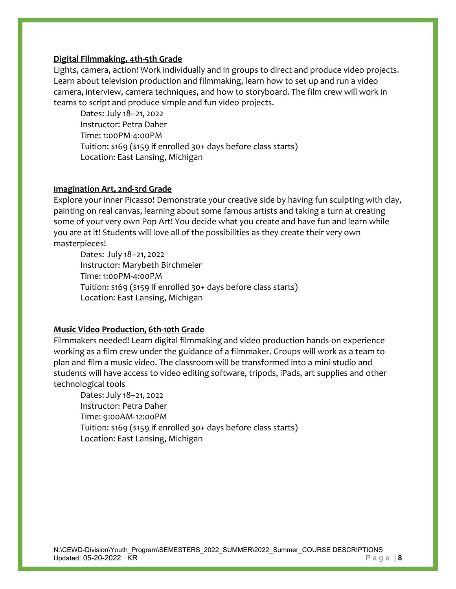# **Digital Filmmaking, 4th-5th Grade**

Lights, camera, action! Work individually and in groups to direct and produce video projects. Learn about television production and filmmaking, learn how to set up and run a video camera, interview, camera techniques, and how to storyboard. The film crew will work in teams to script and produce simple and fun video projects.

Dates: July 18–21, 2022 Instructor: Petra Daher Time: 1:00PM-4:00PM Tuition: \$169 (\$159 if enrolled 30+ days before class starts) Location: East Lansing, Michigan

## **Imagination Art, 2nd-3rd Grade**

Explore your inner Picasso! Demonstrate your creative side by having fun sculpting with clay, painting on real canvas, learning about some famous artists and taking a turn at creating some of your very own Pop Art! You decide what you create and have fun and learn while you are at it! Students will love all of the possibilities as they create their very own masterpieces!

Dates: July 18–21, 2022 Instructor: Marybeth Birchmeier Time: 1:00PM-4:00PM Tuition: \$169 (\$159 if enrolled 30+ days before class starts) Location: East Lansing, Michigan

# **Music Video Production, 6th-10th Grade**

Filmmakers needed! Learn digital filmmaking and video production hands-on experience working as a film crew under the guidance of a filmmaker. Groups will work as a team to plan and film a music video. The classroom will be transformed into a mini-studio and students will have access to video editing software, tripods, iPads, art supplies and other technological tools

Dates: July 18–21, 2022 Instructor: Petra Daher Time: 9:00AM-12:00PM Tuition: \$169 (\$159 if enrolled 30+ days before class starts) Location: East Lansing, Michigan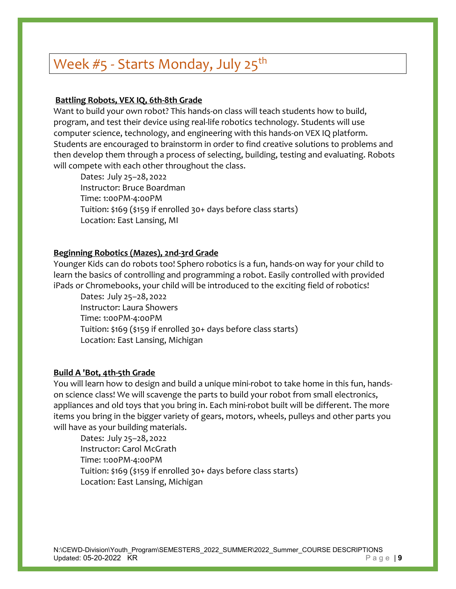# Week  $#5$  - Starts Monday, July 25<sup>th</sup>

# **Battling Robots, VEX IQ, 6th-8th Grade**

Want to build your own robot? This hands-on class will teach students how to build, program, and test their device using real-life robotics technology. Students will use computer science, technology, and engineering with this hands-on VEX IQ platform. Students are encouraged to brainstorm in order to find creative solutions to problems and then develop them through a process of selecting, building, testing and evaluating. Robots will compete with each other throughout the class.

Dates: July 25–28, 2022 Instructor: Bruce Boardman Time: 1:00PM-4:00PM Tuition: \$169 (\$159 if enrolled 30+ days before class starts) Location: East Lansing, MI

## **Beginning Robotics (Mazes), 2nd-3rd Grade**

Younger Kids can do robots too! Sphero robotics is a fun, hands-on way for your child to learn the basics of controlling and programming a robot. Easily controlled with provided iPads or Chromebooks, your child will be introduced to the exciting field of robotics!

Dates: July 25–28, 2022 Instructor: Laura Showers Time: 1:00PM-4:00PM Tuition: \$169 (\$159 if enrolled 30+ days before class starts) Location: East Lansing, Michigan

### **Build A 'Bot, 4th-5th Grade**

You will learn how to design and build a unique mini-robot to take home in this fun, handson science class! We will scavenge the parts to build your robot from small electronics, appliances and old toys that you bring in. Each mini-robot built will be different. The more items you bring in the bigger variety of gears, motors, wheels, pulleys and other parts you will have as your building materials.

Dates: July 25–28, 2022 Instructor: Carol McGrath Time: 1:00PM-4:00PM Tuition: \$169 (\$159 if enrolled 30+ days before class starts) Location: East Lansing, Michigan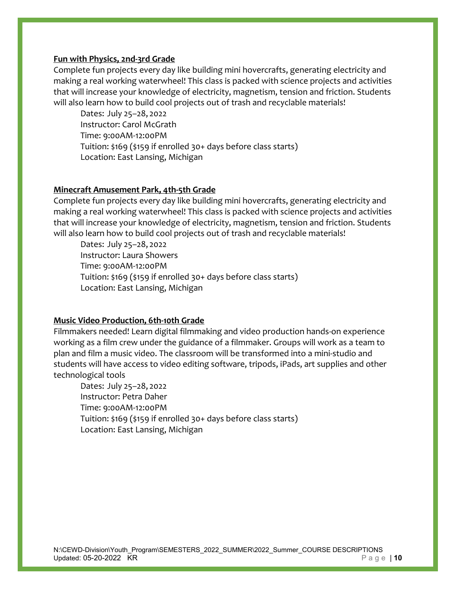## **Fun with Physics, 2nd-3rd Grade**

Complete fun projects every day like building mini hovercrafts, generating electricity and making a real working waterwheel! This class is packed with science projects and activities that will increase your knowledge of electricity, magnetism, tension and friction. Students will also learn how to build cool projects out of trash and recyclable materials!

Dates: July 25–28, 2022 Instructor: Carol McGrath Time: 9:00AM-12:00PM Tuition: \$169 (\$159 if enrolled 30+ days before class starts) Location: East Lansing, Michigan

## **Minecraft Amusement Park, 4th-5th Grade**

Complete fun projects every day like building mini hovercrafts, generating electricity and making a real working waterwheel! This class is packed with science projects and activities that will increase your knowledge of electricity, magnetism, tension and friction. Students will also learn how to build cool projects out of trash and recyclable materials!

Dates: July 25–28, 2022 Instructor: Laura Showers Time: 9:00AM-12:00PM Tuition: \$169 (\$159 if enrolled 30+ days before class starts) Location: East Lansing, Michigan

# **Music Video Production, 6th-10th Grade**

Filmmakers needed! Learn digital filmmaking and video production hands-on experience working as a film crew under the guidance of a filmmaker. Groups will work as a team to plan and film a music video. The classroom will be transformed into a mini-studio and students will have access to video editing software, tripods, iPads, art supplies and other technological tools

Dates: July 25–28, 2022 Instructor: Petra Daher Time: 9:00AM-12:00PM Tuition: \$169 (\$159 if enrolled 30+ days before class starts) Location: East Lansing, Michigan